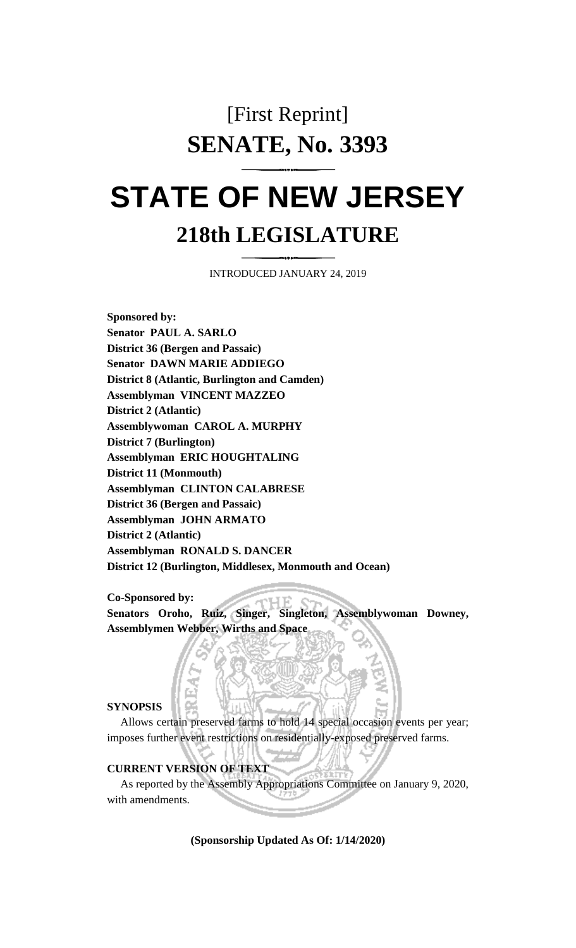# [First Reprint] **SENATE, No. 3393**

# **STATE OF NEW JERSEY 218th LEGISLATURE**

INTRODUCED JANUARY 24, 2019

**Sponsored by: Senator PAUL A. SARLO District 36 (Bergen and Passaic) Senator DAWN MARIE ADDIEGO District 8 (Atlantic, Burlington and Camden) Assemblyman VINCENT MAZZEO District 2 (Atlantic) Assemblywoman CAROL A. MURPHY District 7 (Burlington) Assemblyman ERIC HOUGHTALING District 11 (Monmouth) Assemblyman CLINTON CALABRESE District 36 (Bergen and Passaic) Assemblyman JOHN ARMATO District 2 (Atlantic) Assemblyman RONALD S. DANCER District 12 (Burlington, Middlesex, Monmouth and Ocean)**

**Co-Sponsored by:**

**Senators Oroho, Ruiz, Singer, Singleton, Assemblywoman Downey, Assemblymen Webber, Wirths and Space**

## **SYNOPSIS**

Allows certain preserved farms to hold 14 special occasion events per year; imposes further event restrictions on residentially-exposed preserved farms.

# **CURRENT VERSION OF TEXT**

As reported by the Assembly Appropriations Committee on January 9, 2020, with amendments.

**(Sponsorship Updated As Of: 1/14/2020)**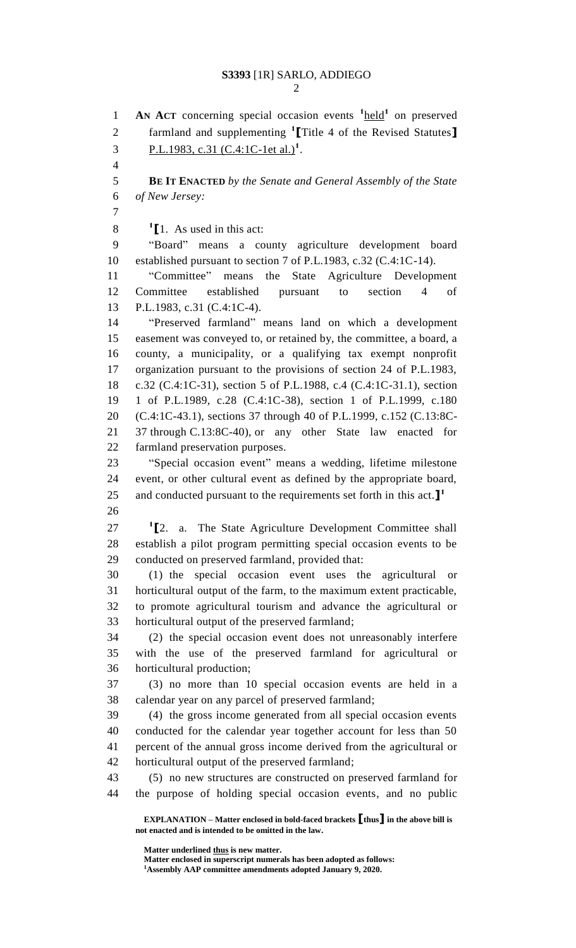**AN ACT** concerning special occasion events <sup>1</sup>held<sup>1</sup> on preserved farmland and supplementing **<sup>1</sup> [**Title 4 of the Revised Statutes**]** 3 P.L.1983, c.31 (C.4:1C-1et al.)<sup>1</sup>. **BE IT ENACTED** *by the Senate and General Assembly of the State of New Jersey:*  $\textbf{1}$  [1. As used in this act: "Board" means a county agriculture development board established pursuant to section 7 of P.L.1983, c.32 (C.4:1C-14). "Committee" means the State Agriculture Development Committee established pursuant to section 4 of P.L.1983, c.31 (C.4:1C-4). "Preserved farmland" means land on which a development easement was conveyed to, or retained by, the committee, a board, a county, a municipality, or a qualifying tax exempt nonprofit organization pursuant to the provisions of section 24 of P.L.1983, c.32 (C.4:1C-31), section 5 of P.L.1988, c.4 (C.4:1C-31.1), section 1 of P.L.1989, c.28 (C.4:1C-38), section 1 of P.L.1999, c.180 (C.4:1C-43.1), sections 37 through 40 of P.L.1999, c.152 (C.13:8C- 37 through C.13:8C-40), or any other State law enacted for farmland preservation purposes. "Special occasion event" means a wedding, lifetime milestone event, or other cultural event as defined by the appropriate board, and conducted pursuant to the requirements set forth in this act.**] 1 [**2. a. The State Agriculture Development Committee shall establish a pilot program permitting special occasion events to be conducted on preserved farmland, provided that: (1) the special occasion event uses the agricultural or horticultural output of the farm, to the maximum extent practicable, to promote agricultural tourism and advance the agricultural or horticultural output of the preserved farmland; (2) the special occasion event does not unreasonably interfere with the use of the preserved farmland for agricultural or horticultural production; (3) no more than 10 special occasion events are held in a calendar year on any parcel of preserved farmland; (4) the gross income generated from all special occasion events conducted for the calendar year together account for less than 50 percent of the annual gross income derived from the agricultural or horticultural output of the preserved farmland; (5) no new structures are constructed on preserved farmland for the purpose of holding special occasion events, and no public

**EXPLANATION – Matter enclosed in bold-faced brackets [thus] in the above bill is not enacted and is intended to be omitted in the law.**

**Matter underlined thus is new matter.**

**Matter enclosed in superscript numerals has been adopted as follows: Assembly AAP committee amendments adopted January 9, 2020.**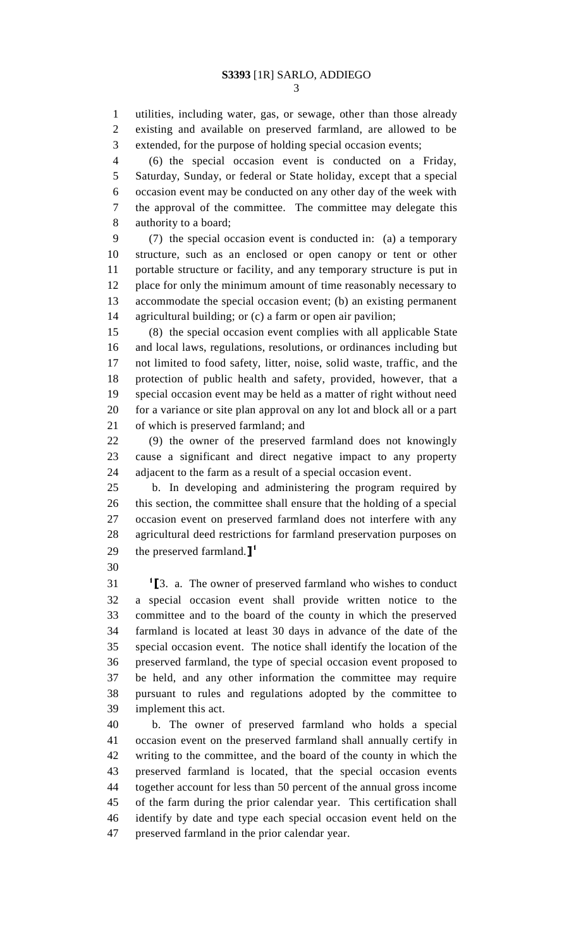utilities, including water, gas, or sewage, other than those already existing and available on preserved farmland, are allowed to be extended, for the purpose of holding special occasion events;

 (6) the special occasion event is conducted on a Friday, Saturday, Sunday, or federal or State holiday, except that a special occasion event may be conducted on any other day of the week with the approval of the committee. The committee may delegate this authority to a board;

 (7) the special occasion event is conducted in: (a) a temporary structure, such as an enclosed or open canopy or tent or other portable structure or facility, and any temporary structure is put in place for only the minimum amount of time reasonably necessary to accommodate the special occasion event; (b) an existing permanent agricultural building; or (c) a farm or open air pavilion;

 (8) the special occasion event complies with all applicable State and local laws, regulations, resolutions, or ordinances including but not limited to food safety, litter, noise, solid waste, traffic, and the protection of public health and safety, provided, however, that a special occasion event may be held as a matter of right without need for a variance or site plan approval on any lot and block all or a part of which is preserved farmland; and

 (9) the owner of the preserved farmland does not knowingly cause a significant and direct negative impact to any property adjacent to the farm as a result of a special occasion event.

 b. In developing and administering the program required by this section, the committee shall ensure that the holding of a special occasion event on preserved farmland does not interfere with any agricultural deed restrictions for farmland preservation purposes on the preserved farmland.**] 1** 

 **[**3. a. The owner of preserved farmland who wishes to conduct a special occasion event shall provide written notice to the committee and to the board of the county in which the preserved farmland is located at least 30 days in advance of the date of the special occasion event. The notice shall identify the location of the preserved farmland, the type of special occasion event proposed to be held, and any other information the committee may require pursuant to rules and regulations adopted by the committee to implement this act.

 b. The owner of preserved farmland who holds a special occasion event on the preserved farmland shall annually certify in writing to the committee, and the board of the county in which the preserved farmland is located, that the special occasion events together account for less than 50 percent of the annual gross income of the farm during the prior calendar year. This certification shall identify by date and type each special occasion event held on the preserved farmland in the prior calendar year.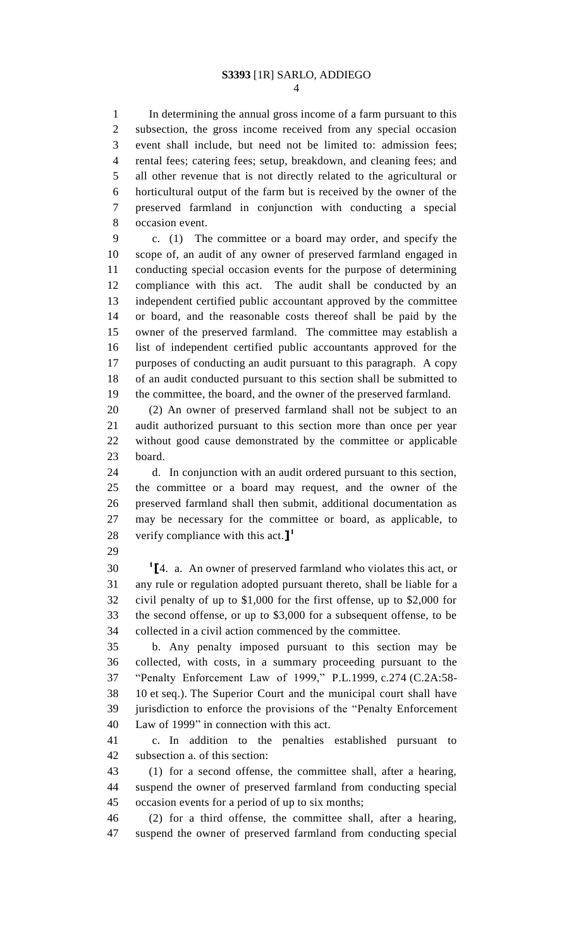In determining the annual gross income of a farm pursuant to this subsection, the gross income received from any special occasion event shall include, but need not be limited to: admission fees; rental fees; catering fees; setup, breakdown, and cleaning fees; and all other revenue that is not directly related to the agricultural or horticultural output of the farm but is received by the owner of the preserved farmland in conjunction with conducting a special occasion event.

 c. (1) The committee or a board may order, and specify the scope of, an audit of any owner of preserved farmland engaged in conducting special occasion events for the purpose of determining compliance with this act. The audit shall be conducted by an independent certified public accountant approved by the committee or board, and the reasonable costs thereof shall be paid by the owner of the preserved farmland. The committee may establish a list of independent certified public accountants approved for the purposes of conducting an audit pursuant to this paragraph. A copy of an audit conducted pursuant to this section shall be submitted to the committee, the board, and the owner of the preserved farmland.

 (2) An owner of preserved farmland shall not be subject to an audit authorized pursuant to this section more than once per year without good cause demonstrated by the committee or applicable board.

 d. In conjunction with an audit ordered pursuant to this section, the committee or a board may request, and the owner of the preserved farmland shall then submit, additional documentation as may be necessary for the committee or board, as applicable, to verify compliance with this act.**] 1** 

 **[**4. a. An owner of preserved farmland who violates this act, or any rule or regulation adopted pursuant thereto, shall be liable for a civil penalty of up to \$1,000 for the first offense, up to \$2,000 for the second offense, or up to \$3,000 for a subsequent offense, to be collected in a civil action commenced by the committee.

 b. Any penalty imposed pursuant to this section may be collected, with costs, in a summary proceeding pursuant to the "Penalty Enforcement Law of 1999," P.L.1999, c.274 (C.2A:58- 10 et seq.). The Superior Court and the municipal court shall have jurisdiction to enforce the provisions of the "Penalty Enforcement Law of 1999" in connection with this act.

 c. In addition to the penalties established pursuant to subsection a. of this section:

 (1) for a second offense, the committee shall, after a hearing, suspend the owner of preserved farmland from conducting special occasion events for a period of up to six months;

 (2) for a third offense, the committee shall, after a hearing, suspend the owner of preserved farmland from conducting special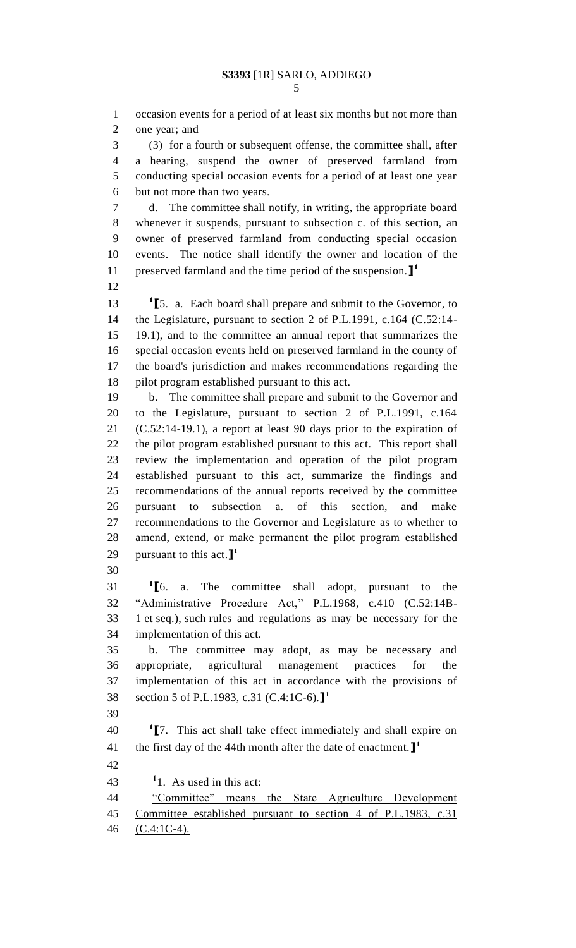occasion events for a period of at least six months but not more than one year; and (3) for a fourth or subsequent offense, the committee shall, after a hearing, suspend the owner of preserved farmland from conducting special occasion events for a period of at least one year but not more than two years. d. The committee shall notify, in writing, the appropriate board whenever it suspends, pursuant to subsection c. of this section, an owner of preserved farmland from conducting special occasion events. The notice shall identify the owner and location of the preserved farmland and the time period of the suspension.**] 1 [**5. a. Each board shall prepare and submit to the Governor, to the Legislature, pursuant to section 2 of P.L.1991, c.164 (C.52:14- 19.1), and to the committee an annual report that summarizes the special occasion events held on preserved farmland in the county of the board's jurisdiction and makes recommendations regarding the pilot program established pursuant to this act. b. The committee shall prepare and submit to the Governor and to the Legislature, pursuant to section 2 of P.L.1991, c.164 (C.52:14-19.1), a report at least 90 days prior to the expiration of the pilot program established pursuant to this act. This report shall review the implementation and operation of the pilot program established pursuant to this act, summarize the findings and recommendations of the annual reports received by the committee pursuant to subsection a. of this section, and make recommendations to the Governor and Legislature as to whether to amend, extend, or make permanent the pilot program established pursuant to this act.**] 1 [**6. a. The committee shall adopt, pursuant to the "Administrative Procedure Act," P.L.1968, c.410 (C.52:14B- 1 et seq.), such rules and regulations as may be necessary for the implementation of this act. b. The committee may adopt, as may be necessary and appropriate, agricultural management practices for the implementation of this act in accordance with the provisions of section 5 of P.L.1983, c.31 (C.4:1C-6).**] 1 [**7. This act shall take effect immediately and shall expire on the first day of the 44th month after the date of enactment.**] 1**  $1.$  As used in this act: "Committee" means the State Agriculture Development Committee established pursuant to section 4 of P.L.1983, c.31 (C.4:1C-4).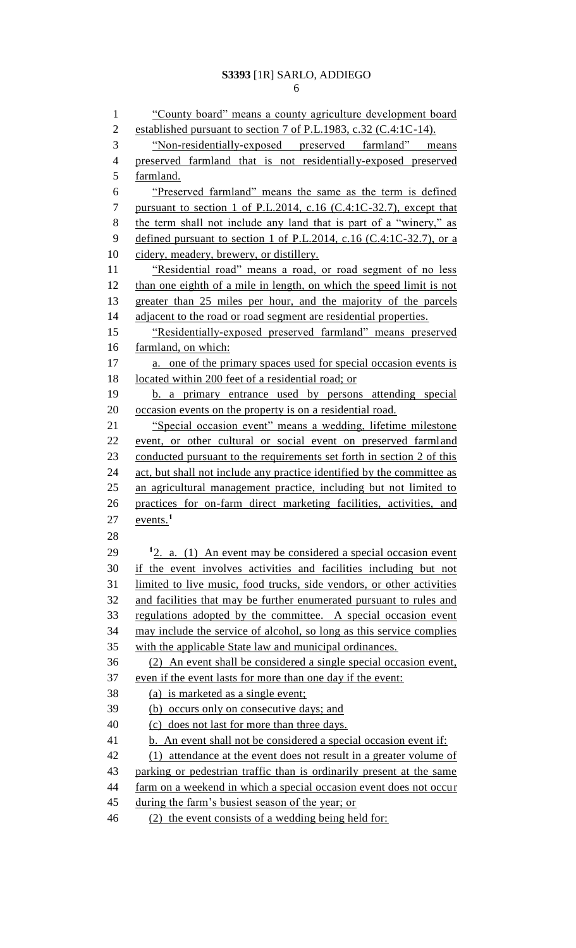### **S3393** [1R] SARLO, ADDIEGO

| $\mathbf{1}$   | "County board" means a county agriculture development board                |
|----------------|----------------------------------------------------------------------------|
| $\mathbf{2}$   | established pursuant to section 7 of P.L.1983, c.32 (C.4:1C-14).           |
| 3              | "Non-residentially-exposed preserved farmland" means                       |
| $\overline{4}$ | preserved farmland that is not residentially-exposed preserved             |
| 5              | farmland.                                                                  |
| 6              | "Preserved farmland" means the same as the term is defined                 |
| 7              | pursuant to section 1 of P.L.2014, c.16 (C.4:1C-32.7), except that         |
| $8\,$          | the term shall not include any land that is part of a "winery," as         |
| 9              | defined pursuant to section 1 of P.L.2014, c.16 (C.4:1C-32.7), or a        |
| 10             | cidery, meadery, brewery, or distillery.                                   |
| 11             | "Residential road" means a road, or road segment of no less                |
| 12             | than one eighth of a mile in length, on which the speed limit is not       |
| 13             | greater than 25 miles per hour, and the majority of the parcels            |
| 14             | adjacent to the road or road segment are residential properties.           |
| 15             | "Residentially-exposed preserved farmland" means preserved                 |
| 16             | farmland, on which:                                                        |
| 17             | a. one of the primary spaces used for special occasion events is           |
| 18             | located within 200 feet of a residential road; or                          |
| 19             | b. a primary entrance used by persons attending special                    |
| 20             | occasion events on the property is on a residential road.                  |
| 21             | "Special occasion event" means a wedding, lifetime milestone               |
| 22             | event, or other cultural or social event on preserved farmland             |
| 23             | conducted pursuant to the requirements set forth in section 2 of this      |
| 24             | act, but shall not include any practice identified by the committee as     |
| 25             | an agricultural management practice, including but not limited to          |
| 26             | practices for on-farm direct marketing facilities, activities, and         |
| 27             | $\frac{\text{events}}{\text{1}}$                                           |
| 28             |                                                                            |
| 29             | <sup>1</sup> 2. a. (1) An event may be considered a special occasion event |
| 30             | if the event involves activities and facilities including but not          |
| 31             | limited to live music, food trucks, side vendors, or other activities      |
| 32             | and facilities that may be further enumerated pursuant to rules and        |
| 33             | regulations adopted by the committee. A special occasion event             |
| 34             | may include the service of alcohol, so long as this service complies       |
| 35             | with the applicable State law and municipal ordinances.                    |
| 36             | (2) An event shall be considered a single special occasion event,          |
| 37             | even if the event lasts for more than one day if the event:                |
| 38             | (a) is marketed as a single event;                                         |
| 39             | (b) occurs only on consecutive days; and                                   |
| 40             | (c) does not last for more than three days.                                |
| 41             | b. An event shall not be considered a special occasion event if:           |
| 42             | attendance at the event does not result in a greater volume of<br>(1)      |
| 43             | parking or pedestrian traffic than is ordinarily present at the same       |
| 44             | farm on a weekend in which a special occasion event does not occur         |
| 45<br>46       | during the farm's busiest season of the year; or                           |
|                | (2) the event consists of a wedding being held for:                        |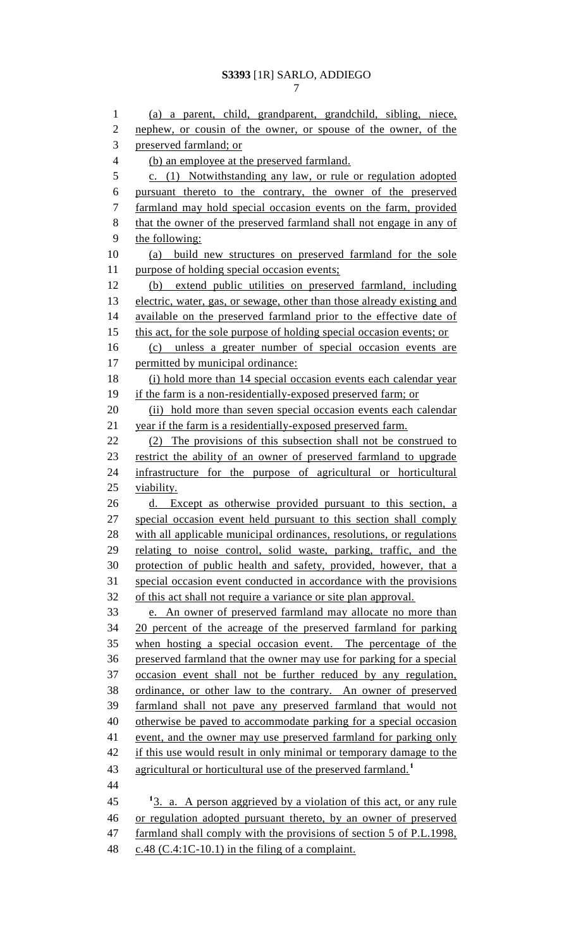(a) a parent, child, grandparent, grandchild, sibling, niece, 2 nephew, or cousin of the owner, or spouse of the owner, of the preserved farmland; or (b) an employee at the preserved farmland. c. (1) Notwithstanding any law, or rule or regulation adopted pursuant thereto to the contrary, the owner of the preserved farmland may hold special occasion events on the farm, provided 8 that the owner of the preserved farmland shall not engage in any of 9 the following: (a) build new structures on preserved farmland for the sole purpose of holding special occasion events; (b) extend public utilities on preserved farmland, including 13 electric, water, gas, or sewage, other than those already existing and available on the preserved farmland prior to the effective date of 15 this act, for the sole purpose of holding special occasion events; or (c) unless a greater number of special occasion events are 17 permitted by municipal ordinance: (i) hold more than 14 special occasion events each calendar year if the farm is a non-residentially-exposed preserved farm; or 20 (ii) hold more than seven special occasion events each calendar year if the farm is a residentially-exposed preserved farm. (2) The provisions of this subsection shall not be construed to restrict the ability of an owner of preserved farmland to upgrade infrastructure for the purpose of agricultural or horticultural viability. 26 d. Except as otherwise provided pursuant to this section, a special occasion event held pursuant to this section shall comply with all applicable municipal ordinances, resolutions, or regulations relating to noise control, solid waste, parking, traffic, and the protection of public health and safety, provided, however, that a special occasion event conducted in accordance with the provisions of this act shall not require a variance or site plan approval. e. An owner of preserved farmland may allocate no more than 20 percent of the acreage of the preserved farmland for parking when hosting a special occasion event. The percentage of the preserved farmland that the owner may use for parking for a special occasion event shall not be further reduced by any regulation, ordinance, or other law to the contrary. An owner of preserved farmland shall not pave any preserved farmland that would not otherwise be paved to accommodate parking for a special occasion event, and the owner may use preserved farmland for parking only 42 if this use would result in only minimal or temporary damage to the agricultural or horticultural use of the preserved farmland.**<sup>1</sup>** 3. a. A person aggrieved by a violation of this act, or any rule or regulation adopted pursuant thereto, by an owner of preserved farmland shall comply with the provisions of section 5 of P.L.1998, c.48 (C.4:1C-10.1) in the filing of a complaint.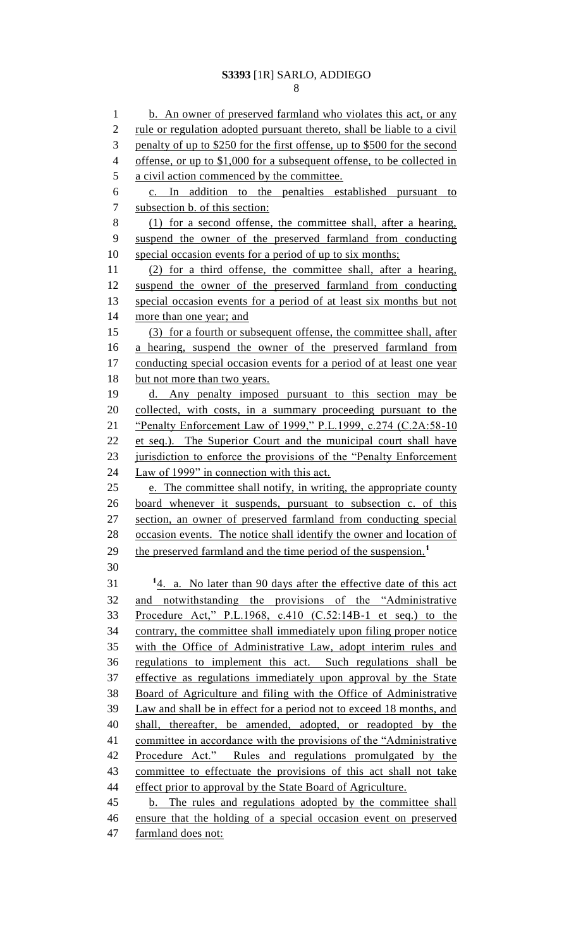# **S3393** [1R] SARLO, ADDIEGO

1 b. An owner of preserved farmland who violates this act, or any 2 rule or regulation adopted pursuant thereto, shall be liable to a civil penalty of up to \$250 for the first offense, up to \$500 for the second offense, or up to \$1,000 for a subsequent offense, to be collected in a civil action commenced by the committee. c. In addition to the penalties established pursuant to subsection b. of this section: (1) for a second offense, the committee shall, after a hearing, suspend the owner of the preserved farmland from conducting 10 special occasion events for a period of up to six months; (2) for a third offense, the committee shall, after a hearing, suspend the owner of the preserved farmland from conducting 13 special occasion events for a period of at least six months but not more than one year; and (3) for a fourth or subsequent offense, the committee shall, after a hearing, suspend the owner of the preserved farmland from 17 conducting special occasion events for a period of at least one year 18 but not more than two years. d. Any penalty imposed pursuant to this section may be collected, with costs, in a summary proceeding pursuant to the "Penalty Enforcement Law of 1999," P.L.1999, c.274 (C.2A:58-10 et seq.). The Superior Court and the municipal court shall have 23 jurisdiction to enforce the provisions of the "Penalty Enforcement Law of 1999" in connection with this act. e. The committee shall notify, in writing, the appropriate county board whenever it suspends, pursuant to subsection c. of this section, an owner of preserved farmland from conducting special occasion events. The notice shall identify the owner and location of the preserved farmland and the time period of the suspension.**<sup>1</sup>** 4. a. No later than 90 days after the effective date of this act and notwithstanding the provisions of the "Administrative Procedure Act," P.L.1968, c.410 (C.52:14B-1 et seq.) to the contrary, the committee shall immediately upon filing proper notice with the Office of Administrative Law, adopt interim rules and regulations to implement this act. Such regulations shall be effective as regulations immediately upon approval by the State Board of Agriculture and filing with the Office of Administrative Law and shall be in effect for a period not to exceed 18 months, and shall, thereafter, be amended, adopted, or readopted by the 41 committee in accordance with the provisions of the "Administrative" Procedure Act." Rules and regulations promulgated by the committee to effectuate the provisions of this act shall not take 44 effect prior to approval by the State Board of Agriculture. 45 b. The rules and regulations adopted by the committee shall ensure that the holding of a special occasion event on preserved farmland does not: